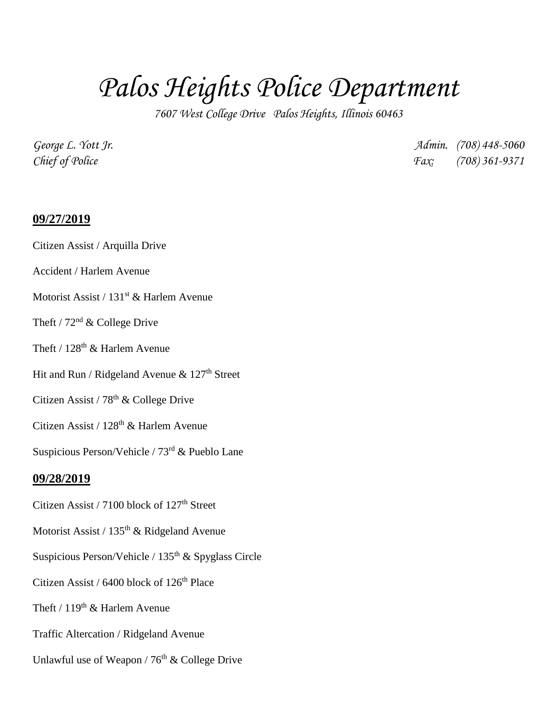# *Palos Heights Police Department*

*7607 West College Drive Palos Heights, Illinois 60463*

*George L. Yott Jr. Admin. (708) 448-5060 Chief of Police Fax: (708) 361-9371*

#### **09/27/2019**

#### Citizen Assist / Arquilla Drive

### Accident / Harlem Avenue

#### Motorist Assist / 131<sup>st</sup> & Harlem Avenue

#### Theft /  $72<sup>nd</sup>$  & College Drive

### Theft /  $128<sup>th</sup>$  & Harlem Avenue

# Hit and Run / Ridgeland Avenue & 127<sup>th</sup> Street

# Citizen Assist /  $78<sup>th</sup>$  & College Drive

## Citizen Assist /  $128<sup>th</sup>$  & Harlem Avenue

# Suspicious Person/Vehicle /  $73<sup>rd</sup>$  & Pueblo Lane

#### **09/28/2019**

- Citizen Assist / 7100 block of 127<sup>th</sup> Street
- Motorist Assist /  $135<sup>th</sup>$  & Ridgeland Avenue
- Suspicious Person/Vehicle / 135<sup>th</sup> & Spyglass Circle
- Citizen Assist /  $6400$  block of  $126<sup>th</sup>$  Place
- Theft /  $119<sup>th</sup>$  & Harlem Avenue
- Traffic Altercation / Ridgeland Avenue
- Unlawful use of Weapon /  $76<sup>th</sup>$  & College Drive